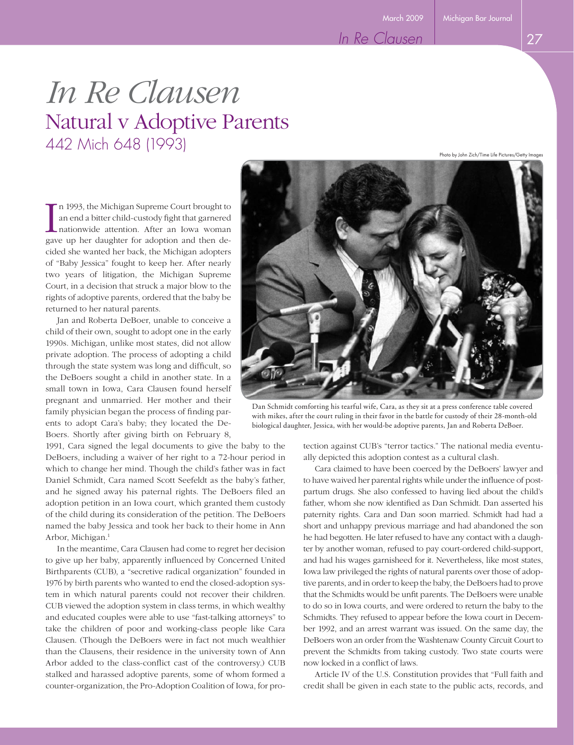### March 2009 Michigan Bar Journal

### *In Re Clausen*

# *In Re Clausen* Natural v Adoptive Parents 442 Mich 648 (1993)

Photo by John Zich/Time Life Pictures/Getty Im

In 1993, the Michigan Supreme Court brought to<br>an end a bitter child-custody fight that garnered<br>nationwide attention. After an Iowa woman<br>gave up her daughter for adoption and then den 1993, the Michigan Supreme Court brought to an end a bitter child-custody fight that garnered nationwide attention. After an Iowa woman cided she wanted her back, the Michigan adopters of "Baby Jessica" fought to keep her. After nearly two years of litigation, the Michigan Supreme Court, in a decision that struck a major blow to the rights of adoptive parents, ordered that the baby be returned to her natural parents.

Jan and Roberta DeBoer, unable to conceive a child of their own, sought to adopt one in the early 1990s. Michigan, unlike most states, did not allow private adoption. The process of adopting a child through the state system was long and difficult, so the DeBoers sought a child in another state. In a small town in Iowa, Cara Clausen found herself pregnant and unmarried. Her mother and their family physician began the process of finding parents to adopt Cara's baby; they located the De-Boers. Shortly after giving birth on February 8,

1991, Cara signed the legal documents to give the baby to the DeBoers, including a waiver of her right to a 72-hour period in which to change her mind. Though the child's father was in fact Daniel Schmidt, Cara named Scott Seefeldt as the baby's father, and he signed away his paternal rights. The DeBoers filed an adoption petition in an Iowa court, which granted them custody of the child during its consideration of the petition. The DeBoers named the baby Jessica and took her back to their home in Ann Arbor, Michigan.1

In the meantime, Cara Clausen had come to regret her decision to give up her baby, apparently influenced by Concerned United Birthparents (CUB), a "secretive radical organization" founded in 1976 by birth parents who wanted to end the closed-adoption system in which natural parents could not recover their children. CUB viewed the adoption system in class terms, in which wealthy and educated couples were able to use "fast-talking attorneys" to take the children of poor and working-class people like Cara Clausen. (Though the DeBoers were in fact not much wealthier than the Clausens, their residence in the university town of Ann Arbor added to the class-conflict cast of the controversy.) CUB stalked and harassed adoptive parents, some of whom formed a counter-organization, the Pro-Adoption Coalition of Iowa, for pro-



Dan Schmidt comforting his tearful wife, Cara, as they sit at a press conference table covered with mikes, after the court ruling in their favor in the battle for custody of their 28-month-old biological daughter, Jessica, with her would-be adoptive parents, Jan and Roberta DeBoer.

tection against CUB's "terror tactics." The national media eventually depicted this adoption contest as a cultural clash.

Cara claimed to have been coerced by the DeBoers' lawyer and to have waived her parental rights while under the influence of postpartum drugs. She also confessed to having lied about the child's father, whom she now identified as Dan Schmidt. Dan asserted his paternity rights. Cara and Dan soon married. Schmidt had had a short and unhappy previous marriage and had abandoned the son he had begotten. He later refused to have any contact with a daughter by another woman, refused to pay court-ordered child-support, and had his wages garnisheed for it. Nevertheless, like most states, Iowa law privileged the rights of natural parents over those of adoptive parents, and in order to keep the baby, the DeBoers had to prove that the Schmidts would be unfit parents. The DeBoers were unable to do so in Iowa courts, and were ordered to return the baby to the Schmidts. They refused to appear before the Iowa court in December 1992, and an arrest warrant was issued. On the same day, the DeBoers won an order from the Washtenaw County Circuit Court to prevent the Schmidts from taking custody. Two state courts were now locked in a conflict of laws.

Article IV of the U.S. Constitution provides that "Full faith and credit shall be given in each state to the public acts, records, and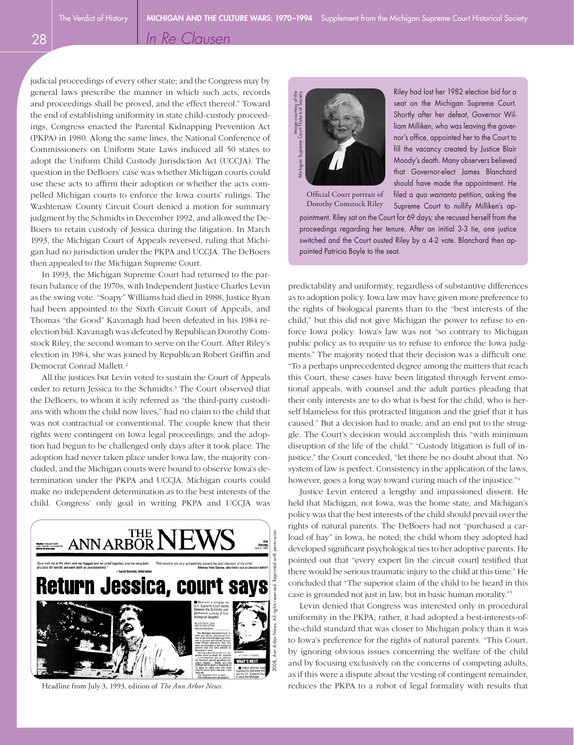*In Re Clausen*

judicial proceedings of every other state; and the Congress may by general laws prescribe the manner in which such acts, records and proceedings shall be proved, and the effect thereof." Toward the end of establishing uniformity in state child-custody proceedings, Congress enacted the Parental Kidnapping Prevention Act (PKPA) in 1980. Along the same lines, the National Conference of Commissioners on Uniform State Laws induced all 50 states to adopt the Uniform Child Custody Jurisdiction Act (UCCJA). The question in the DeBoers' case was whether Michigan courts could use these acts to affirm their adoption or whether the acts compelled Michigan courts to enforce the Iowa courts' rulings. The Washtenaw County Circuit Court denied a motion for summary judgment by the Schmidts in December 1992, and allowed the De-Boers to retain custody of Jessica during the litigation. In March 1993, the Michigan Court of Appeals reversed, ruling that Michigan had no jurisdiction under the PKPA and UCCJA. The DeBoers then appealed to the Michigan Supreme Court.

In 1993, the Michigan Supreme Court had returned to the partisan balance of the 1970s, with Independent Justice Charles Levin as the swing vote. "Soapy" Williams had died in 1988, Justice Ryan had been appointed to the Sixth Circuit Court of Appeals, and Thomas "the Good" Kavanagh had been defeated in his 1984 reelection bid. Kavanagh was defeated by Republican Dorothy Comstock Riley, the second woman to serve on the Court. After Riley's election in 1984, she was joined by Republican Robert Griffin and Democrat Conrad Mallett.2

All the justices but Levin voted to sustain the Court of Appeals order to return Jessica to the Schmidts.<sup>3</sup> The Court observed that the DeBoers, to whom it icily referred as "the third-party custodians with whom the child now lives," had no claim to the child that was not contractual or conventional. The couple knew that their rights were contingent on Iowa legal proceedings, and the adoption had begun to be challenged only days after it took place. The adoption had never taken place under Iowa law, the majority concluded, and the Michigan courts were bound to observe Iowa's determination under the PKPA and UCCJA. Michigan courts could make no independent determination as to the best interests of the child. Congress' only goal in writing PKPA and UCCJA was



Headline from July 3, 1993, edition of *The Ann Arbor News.*



Riley had lost her 1982 election bid for a seat on the Michigan Supreme Court. Shortly after her defeat, Governor William Milliken, who was leaving the governor's office, appointed her to the Court to fill the vacancy created by Justice Blair Moody's death. Many observers believed that Governor-elect James Blanchard should have made the appointment. He filed a *quo warranto* petition, asking the Supreme Court to nullify Milliken's ap-

Official Court portrait of Dorothy Comstock Riley

pointment. Riley sat on the Court for 69 days; she recused herself from the proceedings regarding her tenure. After an initial 3-3 tie, one justice switched and the Court ousted Riley by a 4-2 vote. Blanchard then appointed Patricia Boyle to the seat.

predictability and uniformity, regardless of substantive differences as to adoption policy. Iowa law may have given more preference to the rights of biological parents than to the "best interests of the child," but this did not give Michigan the power to refuse to enforce Iowa policy. Iowa's law was not "so contrary to Michigan public policy as to require us to refuse to enforce the Iowa judgments." The majority noted that their decision was a difficult one. "To a perhaps unprecedented degree among the matters that reach this Court, these cases have been litigated through fervent emotional appeals, with counsel and the adult parties pleading that their only interests are to do what is best for the child, who is herself blameless for this protracted litigation and the grief that it has caused." But a decision had to made, and an end put to the struggle. The Court's decision would accomplish this "with minimum disruption of the life of the child." "Custody litigation is full of injustice," the Court conceded, "let there be no doubt about that. No system of law is perfect. Consistency in the application of the laws, however, goes a long way toward curing much of the injustice."4 reduces the method of the Herafonia of the Perform Will be the Colenne Will be the Courtest of the Courtest of the Courtest of the Courtest of the Courtest of the Courtest of the Courtest of the Courtest of the Courtest of

Justice Levin entered a lengthy and impassioned dissent. He held that Michigan, not Iowa, was the home state, and Michigan's policy was that the best interests of the child should prevail over the rights of natural parents. The DeBoers had not "purchased a carload of hay" in Iowa, he noted; the child whom they adopted had developed significant psychological ties to her adoptive parents. He pointed out that "every expert [in the circuit court] testified that there would be serious traumatic injury to the child at this time." He concluded that "The superior claim of the child to be heard in this case is grounded not just in law, but in basic human morality."5

Levin denied that Congress was interested only in procedural uniformity in the PKPA; rather, it had adopted a best-interests-ofthe-child standard that was closer to Michigan policy than it was to Iowa's preference for the rights of natural parents. "This Court, by ignoring obvious issues concerning the welfare of the child and by focusing exclusively on the concerns of competing adults, as if this were a dispute about the vesting of contingent remainder,